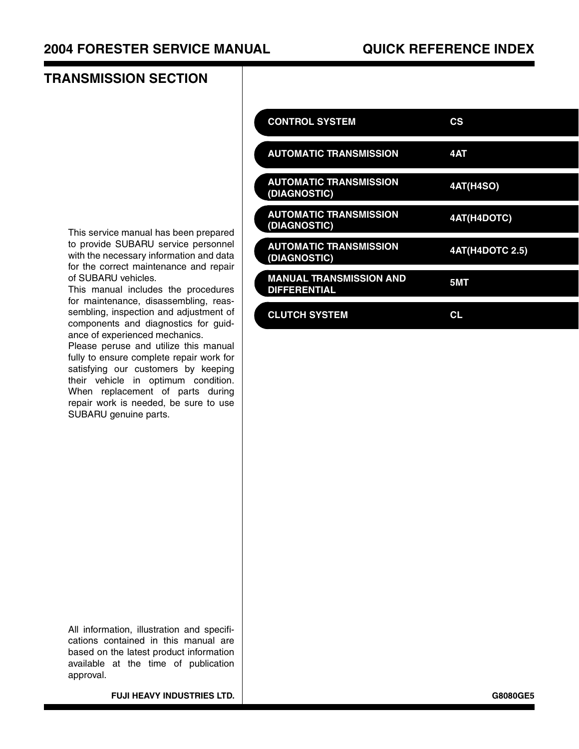### **TRANSMISSION SECTION**

| <b>CONTROL SYSTEM</b>                                 | СS                     |
|-------------------------------------------------------|------------------------|
| <b>AUTOMATIC TRANSMISSION</b>                         | 4AT                    |
| <b>AUTOMATIC TRANSMISSION</b><br>(DIAGNOSTIC)         | <b>4AT(H4SO)</b>       |
| <b>AUTOMATIC TRANSMISSION</b><br>(DIAGNOSTIC)         | 4AT(H4DOTC)            |
| <b>AUTOMATIC TRANSMISSION</b><br>(DIAGNOSTIC)         | <b>4AT(H4DOTC 2.5)</b> |
| <b>MANUAL TRANSMISSION AND</b><br><b>DIFFERENTIAL</b> | 5MT                    |
| <b>CLUTCH SYSTEM</b>                                  | СL                     |

This service manual has been prepared to provide SUBARU service personnel with the necessary information and data for the correct maintenance and repair of SUBARU vehicles.

This manual includes the procedures for maintenance, disassembling, reassembling, inspection and adjustment of components and diagnostics for guidance of experienced mechanics.

Please peruse and utilize this manual fully to ensure complete repair work for satisfying our customers by keeping their vehicle in optimum condition. When replacement of parts during repair work is needed, be sure to use SUBARU genuine parts.

All information, illustration and specifications contained in this manual are based on the latest product information available at the time of publication approval.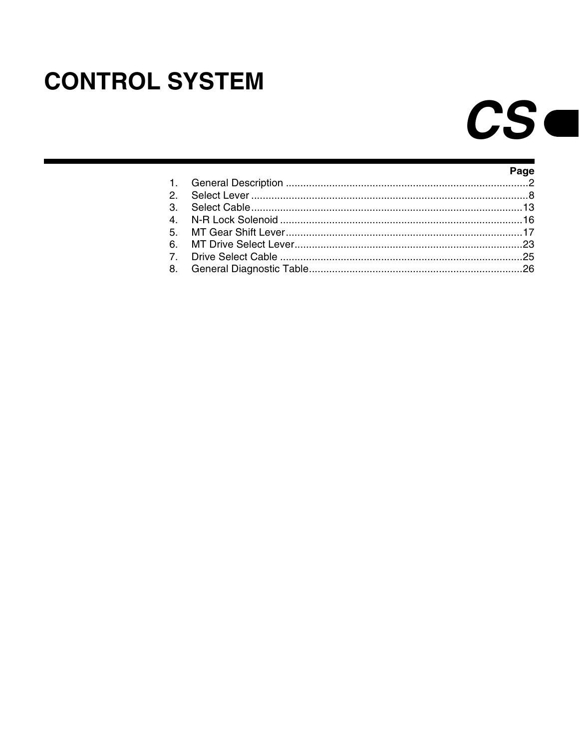## <span id="page-1-0"></span>**CONTROL SYSTEM**

# $CS-$

|  | Page |
|--|------|
|  |      |
|  |      |
|  |      |
|  |      |
|  |      |
|  |      |
|  |      |
|  |      |
|  |      |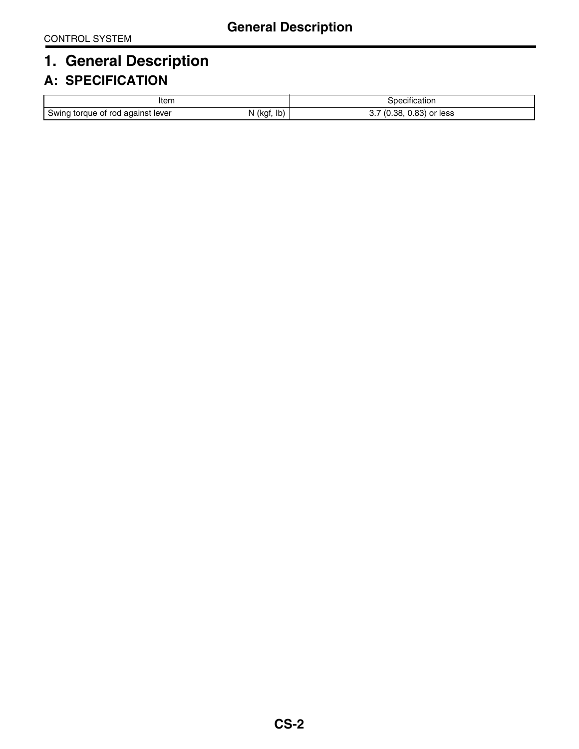### <span id="page-2-0"></span>**1. General Description**

### **A: SPECIFICATION**

| Iten<br>.                                   |                  | .<br>. .<br>becification                               |  |
|---------------------------------------------|------------------|--------------------------------------------------------|--|
| ∽<br>i torque of rod against lever<br>Swind | Ib)<br>(kgt<br>N | . ററ്<br>.38<br>$\prime\prime$<br>$0.83$ or less<br>v. |  |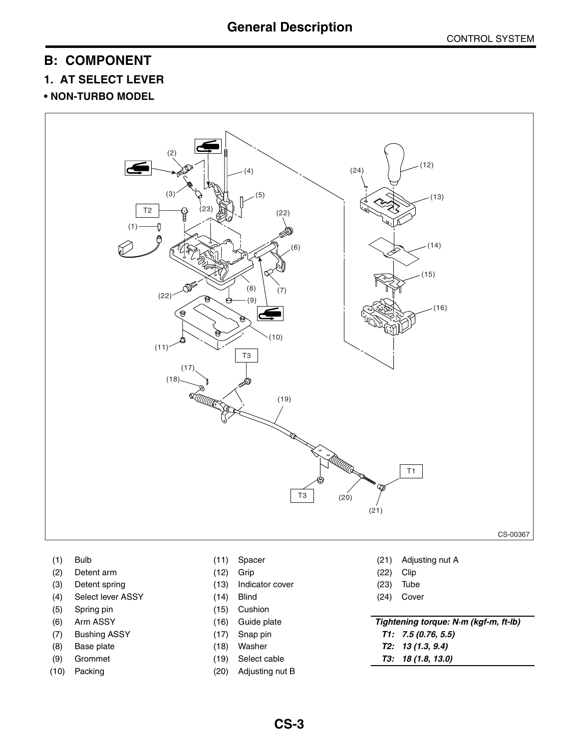### <span id="page-3-1"></span>**B: COMPONENT**

### <span id="page-3-0"></span>**1. AT SELECT LEVER**

### **• NON-TURBO MODEL**



- 
- (2) Detent arm (12) Grip (22) Clip
- 
- (4) Select lever ASSY (14) Blind (24) Cover
- 
- 
- 
- 
- 
- 
- 
- 
- (3) Detent spring (13) Indicator cover (23) Tube
	-
- (5) Spring pin (15) Cushion
	-
	-
	-
	-
- (10) Packing (20) Adjusting nut B
- (1) Bulb (11) Spacer (21) Adjusting nut A
	-
	-
	-
- (6) Arm ASSY (16) Guide plate *Tightening torque: N·m (kgf-m, ft-lb)* (7) Bushing ASSY (17) Snap pin *T1: 7.5 (0.76, 5.5)* (8) Base plate (18) Washer *T2: 13 (1.3, 9.4)*
- (9) Grommet (19) Select cable *T3: 18 (1.8, 13.0)*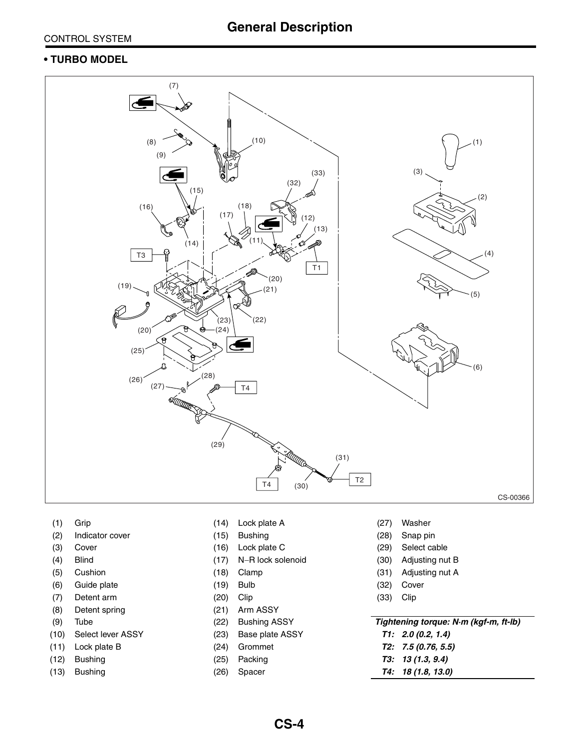#### CONTROL SYSTEM

### **• TURBO MODEL**



- (2) Indicator cover (15) Bushing (28) Snap pin
- 
- 
- 
- (6) Guide plate (19) Bulb (32) Cover
- (7) Detent arm (20) Clip (33) Clip
- (8) Detent spring (21) Arm ASSY
- 
- (10) Select lever ASSY (23) Base plate ASSY *T1: 2.0 (0.2, 1.4)*
- (11) Lock plate B (24) Grommet *T2: 7.5 (0.76, 5.5)*
- (12) Bushing (25) Packing *T3: 13 (1.3, 9.4)*
- 
- (1) Grip (14) Lock plate A (27) Washer
	-
	-
	-
	-
	-
	-
	-
- (9) Tube (22) Bushing ASSY
	-
	-
	-
	-
- 
- 
- (3) Cover (16) Lock plate C (29) Select cable
- (4) Blind (17) N−R lock solenoid (30) Adjusting nut B
- (5) Cushion (18) Clamp (31) Adjusting nut A
	-
	-

| Tightening torque: N·m (kgf-m, ft-lb) |  |
|---------------------------------------|--|
| T1: 2.0 (0.2, 1.4)                    |  |
| T2.7507C5                             |  |

- 
- (13) Bushing (26) Spacer *T4: 18 (1.8, 13.0)*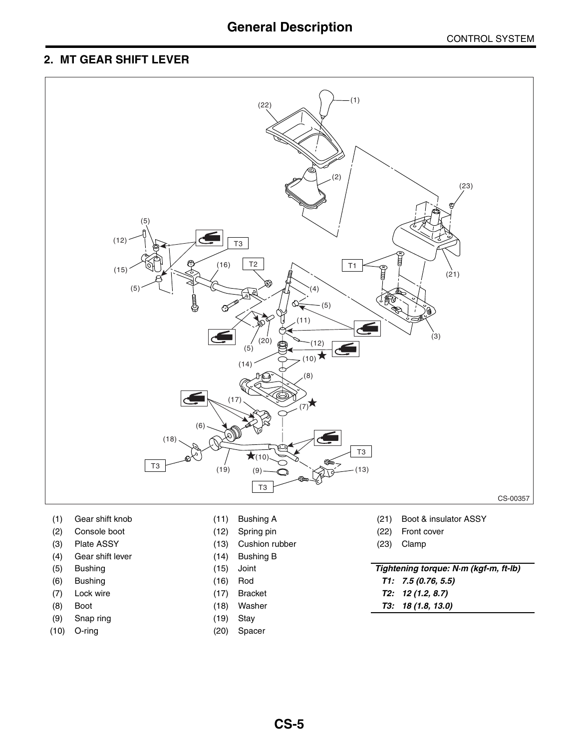### **General Description**

### **2. MT GEAR SHIFT LEVER**



- 
- (2) Console boot (12) Spring pin (22) Front cover
- (3) Plate ASSY (13) Cushion rubber (23) Clamp
- (4) Gear shift lever (14) Bushing B
- 
- 
- 
- 
- (9) Snap ring (19) Stay
- 
- 
- 
- 
- 
- 
- 
- 
- 
- 
- (10) O-ring (20) Spacer
- (1) Gear shift knob (11) Bushing A (21) Boot & insulator ASSY
	-
	-

### (5) Bushing (15) Joint *Tightening torque: N·m (kgf-m, ft-lb)*

- (6) Bushing (16) Rod *T1: 7.5 (0.76, 5.5)*
- (7) Lock wire (17) Bracket *T2: 12 (1.2, 8.7)*
- (8) Boot (18) Washer *T3: 18 (1.8, 13.0)*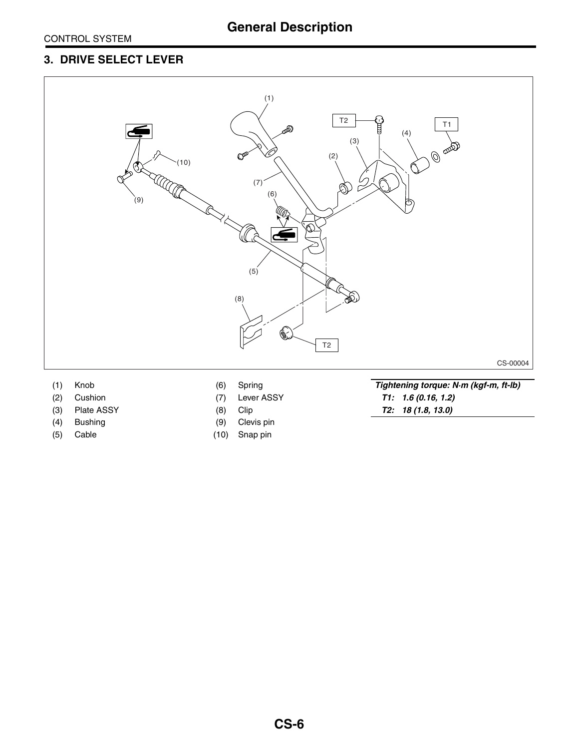### **3. DRIVE SELECT LEVER**



- 
- 
- 
- 
- 
- 
- 
- 
- (4) Bushing (9) Clevis pin
- (5) Cable (10) Snap pin

(1) Knob (6) Spring *Tightening torque: N·m (kgf-m, ft-lb)* (2) Cushion (7) Lever ASSY *T1: 1.6 (0.16, 1.2)* (3) Plate ASSY (8) Clip *T2: 18 (1.8, 13.0)*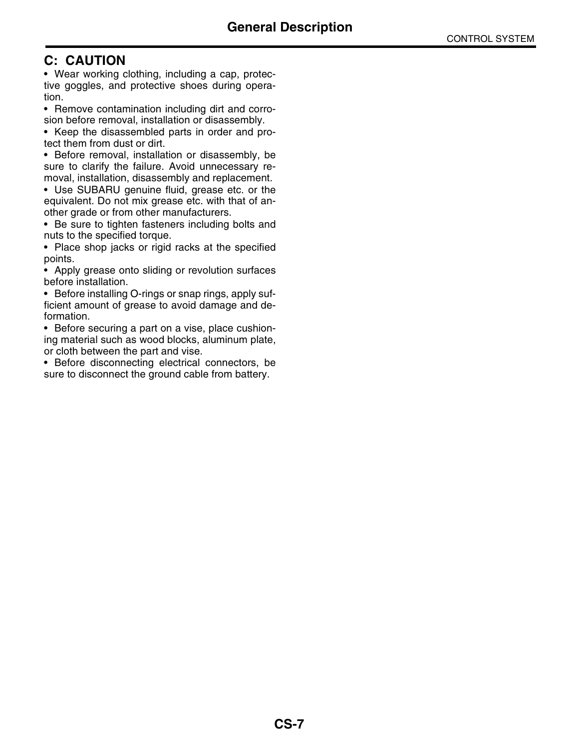### **C: CAUTION**

• Wear working clothing, including a cap, protective goggles, and protective shoes during operation.

• Remove contamination including dirt and corrosion before removal, installation or disassembly.

• Keep the disassembled parts in order and protect them from dust or dirt.

• Before removal, installation or disassembly, be sure to clarify the failure. Avoid unnecessary removal, installation, disassembly and replacement.

• Use SUBARU genuine fluid, grease etc. or the equivalent. Do not mix grease etc. with that of another grade or from other manufacturers.

• Be sure to tighten fasteners including bolts and nuts to the specified torque.

• Place shop jacks or rigid racks at the specified points.

• Apply grease onto sliding or revolution surfaces before installation.

• Before installing O-rings or snap rings, apply sufficient amount of grease to avoid damage and deformation.

• Before securing a part on a vise, place cushioning material such as wood blocks, aluminum plate, or cloth between the part and vise.

• Before disconnecting electrical connectors, be sure to disconnect the ground cable from battery.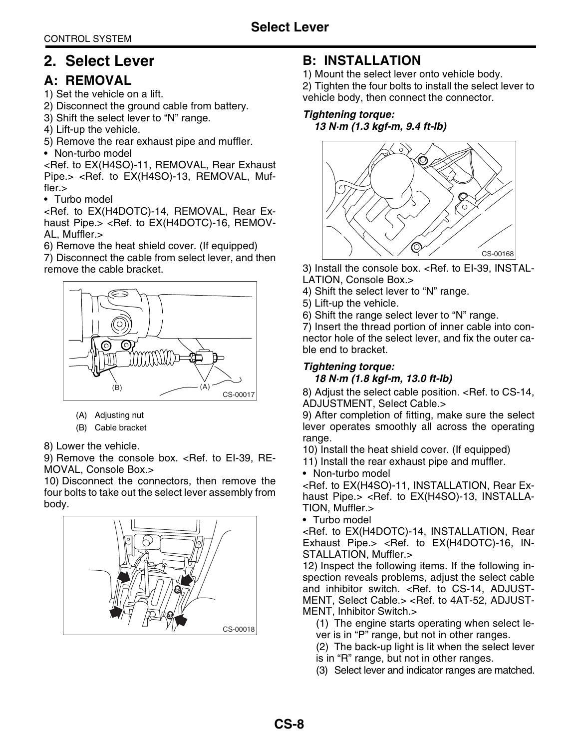### <span id="page-8-0"></span>**2. Select Lever**

### **A: REMOVAL**

1) Set the vehicle on a lift.

- 2) Disconnect the ground cable from battery.
- 3) Shift the select lever to "N" range.
- 4) Lift-up the vehicle.
- 5) Remove the rear exhaust pipe and muffler.

• Non-turbo model

<Ref. to EX(H4SO)-11, REMOVAL, Rear Exhaust Pipe.> <Ref. to EX(H4SO)-13, REMOVAL, Muffler.>

• Turbo model

<Ref. to EX(H4DOTC)-14, REMOVAL, Rear Exhaust Pipe.> <Ref. to EX(H4DOTC)-16, REMOV-AL, Muffler.>

6) Remove the heat shield cover. (If equipped)

7) Disconnect the cable from select lever, and then remove the cable bracket.



- (A) Adjusting nut
- (B) Cable bracket
- 8) Lower the vehicle.

9) Remove the console box. < Ref. to EI-39, RE-MOVAL, Console Box.>

10) Disconnect the connectors, then remove the four bolts to take out the select lever assembly from body.



### **B: INSTALLATION**

1) Mount the select lever onto vehicle body.

2) Tighten the four bolts to install the select lever to vehicle body, then connect the connector.

### *Tightening torque:*

*13 N·m (1.3 kgf-m, 9.4 ft-lb)*



3) Install the console box. <Ref. to EI-39, INSTAL-LATION, Console Box.>

4) Shift the select lever to "N" range.

5) Lift-up the vehicle.

6) Shift the range select lever to "N" range.

7) Insert the thread portion of inner cable into connector hole of the select lever, and fix the outer cable end to bracket.

### *Tightening torque:*

#### *18 N·m (1.8 kgf-m, 13.0 ft-lb)*

8) Adjust the select cable position. [<Ref. to CS-14,](#page-14-0) [ADJUSTMENT, Select Cable.>](#page-14-0)

9) After completion of fitting, make sure the select lever operates smoothly all across the operating range.

10) Install the heat shield cover. (If equipped)

- 11) Install the rear exhaust pipe and muffler.
- Non-turbo model

<Ref. to EX(H4SO)-11, INSTALLATION, Rear Exhaust Pipe.> <Ref. to EX(H4SO)-13, INSTALLA-TION, Muffler.>

• Turbo model

<Ref. to EX(H4DOTC)-14, INSTALLATION, Rear Exhaust Pipe.> <Ref. to EX(H4DOTC)-16, IN-STALLATION, Muffler.>

12) Inspect the following items. If the following inspection reveals problems, adjust the select cable and inhibitor switch. [<Ref. to CS-14, ADJUST-](#page-14-0)[MENT, Select Cable.>](#page-14-0) <Ref. to 4AT-52, ADJUST-MENT, Inhibitor Switch.>

(1) The engine starts operating when select lever is in "P" range, but not in other ranges.

(2) The back-up light is lit when the select lever is in "R" range, but not in other ranges.

(3) Select lever and indicator ranges are matched.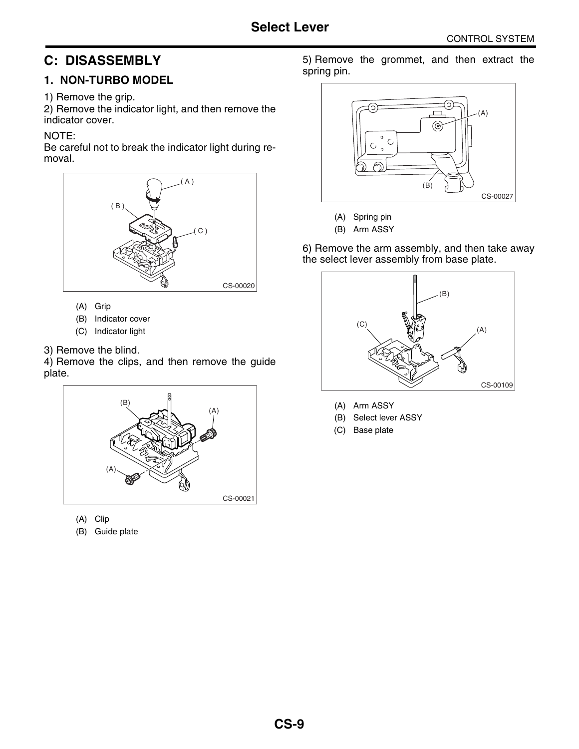### **C: DISASSEMBLY**

### **1. NON-TURBO MODEL**

### 1) Remove the grip.

2) Remove the indicator light, and then remove the indicator cover.

### NOTE:

Be careful not to break the indicator light during removal.



- (A) Grip
- (B) Indicator cover
- (C) Indicator light
- 3) Remove the blind.

4) Remove the clips, and then remove the guide plate.



(A) Clip

(B) Guide plate

5) Remove the grommet, and then extract the spring pin.



(A) Spring pin

(B) Arm ASSY

6) Remove the arm assembly, and then take away the select lever assembly from base plate.



- (A) Arm ASSY
- (B) Select lever ASSY
- (C) Base plate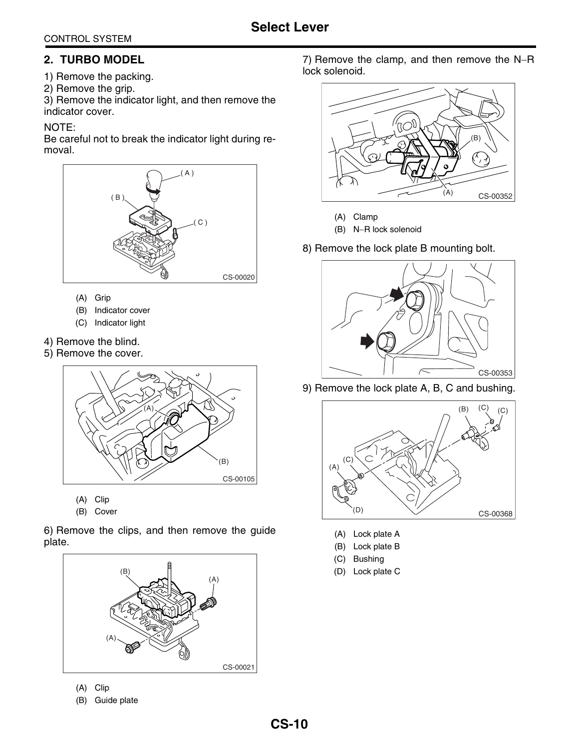### CONTROL SYSTEM

### **2. TURBO MODEL**

- 1) Remove the packing.
- 2) Remove the grip.

3) Remove the indicator light, and then remove the indicator cover.

### NOTE:

Be careful not to break the indicator light during removal.



- (A) Grip
- (B) Indicator cover
- (C) Indicator light
- 4) Remove the blind.
- 5) Remove the cover.



- (A) Clip
- (B) Cover

6) Remove the clips, and then remove the guide plate.



- (A) Clip
- (B) Guide plate

7) Remove the clamp, and then remove the N−R lock solenoid.



- (A) Clamp
- (B) N−R lock solenoid
- 8) Remove the lock plate B mounting bolt.



9) Remove the lock plate A, B, C and bushing.



- (A) Lock plate A
- (B) Lock plate B
- (C) Bushing
- (D) Lock plate C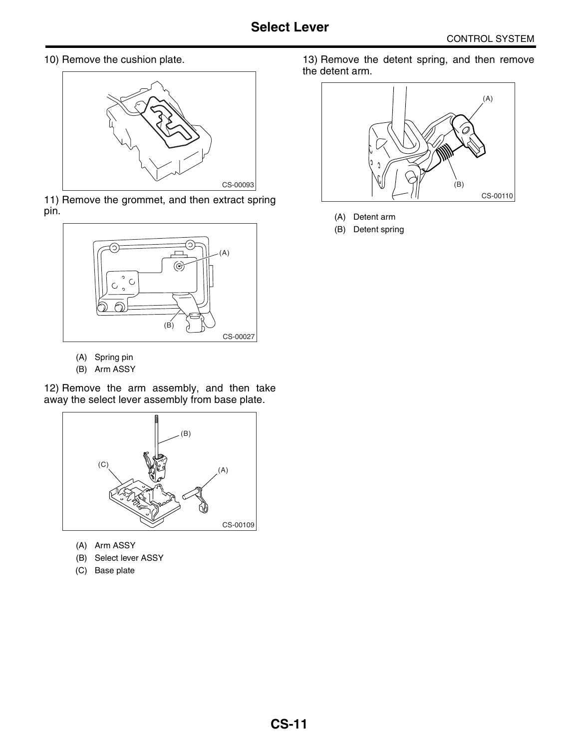10) Remove the cushion plate.



11) Remove the grommet, and then extract spring pin.



- (A) Spring pin
- (B) Arm ASSY

12) Remove the arm assembly, and then take away the select lever assembly from base plate.



- (A) Arm ASSY
- (B) Select lever ASSY
- (C) Base plate

13) Remove the detent spring, and then remove the detent arm.



- (A) Detent arm
- (B) Detent spring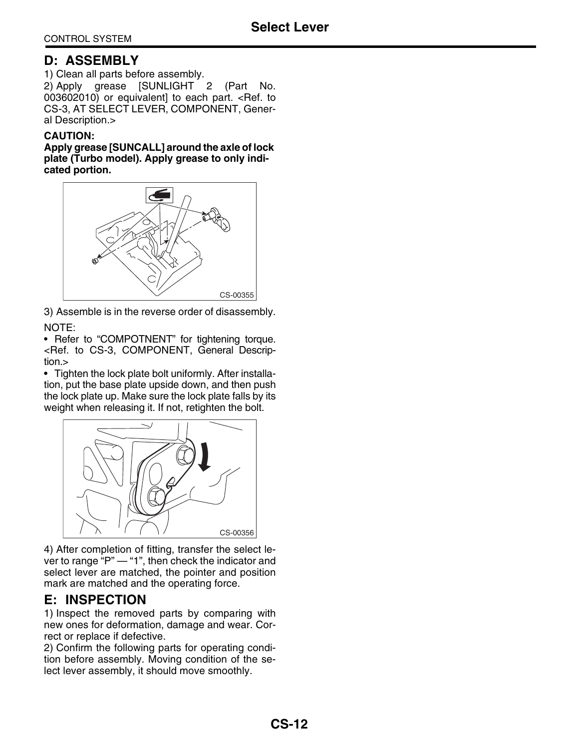### **D: ASSEMBLY**

1) Clean all parts before assembly. 2) Apply grease [SUNLIGHT 2 (Part No. 003602010) or equivalent] to each part. [<Ref. to](#page-3-0) [CS-3, AT SELECT LEVER, COMPONENT, Gener](#page-3-0)[al Description.>](#page-3-0)

#### **CAUTION:**

**Apply grease [SUNCALL] around the axle of lock plate (Turbo model). Apply grease to only indicated portion.**



3) Assemble is in the reverse order of disassembly. NOTE:

• Refer to "COMPOTNENT" for tightening torque. [<Ref. to CS-3, COMPONENT, General Descrip](#page-3-1)[tion.>](#page-3-1)

• Tighten the lock plate bolt uniformly. After installation, put the base plate upside down, and then push the lock plate up. Make sure the lock plate falls by its weight when releasing it. If not, retighten the bolt.



4) After completion of fitting, transfer the select lever to range "P" — "1", then check the indicator and select lever are matched, the pointer and position mark are matched and the operating force.

### **E: INSPECTION**

1) Inspect the removed parts by comparing with new ones for deformation, damage and wear. Correct or replace if defective.

2) Confirm the following parts for operating condition before assembly. Moving condition of the select lever assembly, it should move smoothly.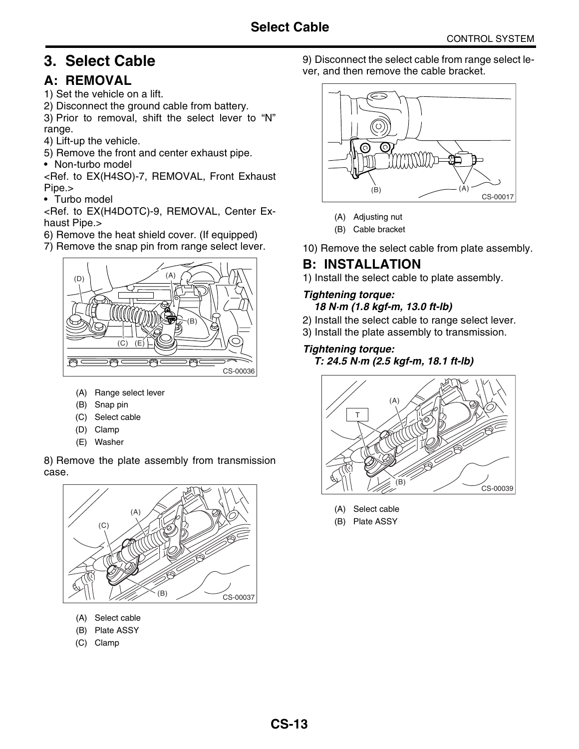### <span id="page-13-0"></span>**3. Select Cable**

### **A: REMOVAL**

1) Set the vehicle on a lift.

2) Disconnect the ground cable from battery.

3) Prior to removal, shift the select lever to "N" range.

- 4) Lift-up the vehicle.
- 5) Remove the front and center exhaust pipe.
- Non-turbo model

<Ref. to EX(H4SO)-7, REMOVAL, Front Exhaust Pipe.>

• Turbo model

<Ref. to EX(H4DOTC)-9, REMOVAL, Center Exhaust Pipe.>

- 6) Remove the heat shield cover. (If equipped)
- 7) Remove the snap pin from range select lever.



- (A) Range select lever
- (B) Snap pin
- (C) Select cable
- (D) Clamp
- (E) Washer

8) Remove the plate assembly from transmission case.



- (A) Select cable
- (B) Plate ASSY
- (C) Clamp

9) Disconnect the select cable from range select lever, and then remove the cable bracket.



- (A) Adjusting nut
- (B) Cable bracket
- 10) Remove the select cable from plate assembly.

### **B: INSTALLATION**

1) Install the select cable to plate assembly.

### *Tightening torque:*

- *18 N·m (1.8 kgf-m, 13.0 ft-lb)*
- 2) Install the select cable to range select lever.
- 3) Install the plate assembly to transmission.

### *Tightening torque:*

*T: 24.5 N·m (2.5 kgf-m, 18.1 ft-lb)*



- (A) Select cable
- (B) Plate ASSY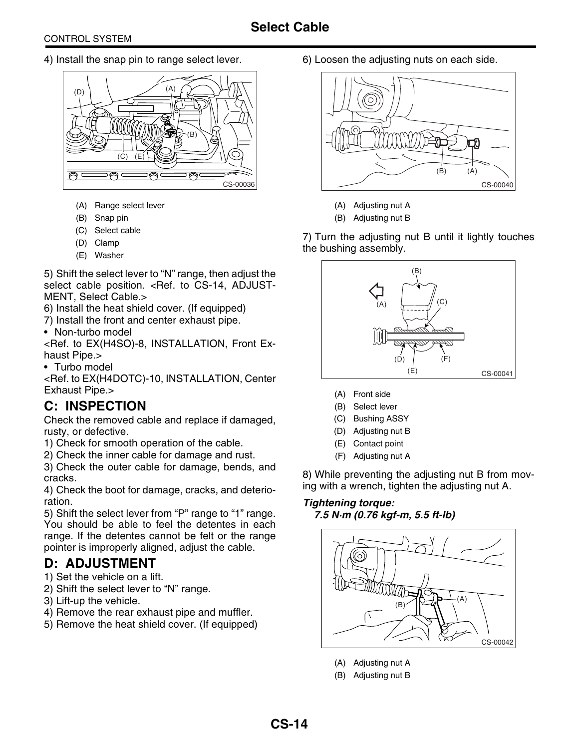4) Install the snap pin to range select lever.



- (A) Range select lever
- (B) Snap pin
- (C) Select cable
- (D) Clamp
- (E) Washer

5) Shift the select lever to "N" range, then adjust the select cable position. [<Ref. to CS-14, ADJUST-](#page-14-0)[MENT, Select Cable.>](#page-14-0)

6) Install the heat shield cover. (If equipped)

7) Install the front and center exhaust pipe.

• Non-turbo model

<Ref. to EX(H4SO)-8, INSTALLATION, Front Exhaust Pipe.>

• Turbo model

<Ref. to EX(H4DOTC)-10, INSTALLATION, Center Exhaust Pipe.>

### **C: INSPECTION**

Check the removed cable and replace if damaged, rusty, or defective.

1) Check for smooth operation of the cable.

2) Check the inner cable for damage and rust.

3) Check the outer cable for damage, bends, and cracks.

4) Check the boot for damage, cracks, and deterioration.

5) Shift the select lever from "P" range to "1" range. You should be able to feel the detentes in each range. If the detentes cannot be felt or the range pointer is improperly aligned, adjust the cable.

### <span id="page-14-0"></span>**D: ADJUSTMENT**

- 1) Set the vehicle on a lift.
- 2) Shift the select lever to "N" range.
- 3) Lift-up the vehicle.
- 4) Remove the rear exhaust pipe and muffler.
- 5) Remove the heat shield cover. (If equipped)

6) Loosen the adjusting nuts on each side.



- (A) Adjusting nut A
- (B) Adjusting nut B

7) Turn the adjusting nut B until it lightly touches the bushing assembly.



- (A) Front side
- (B) Select lever
- (C) Bushing ASSY
- (D) Adjusting nut B
- (E) Contact point
- (F) Adjusting nut A

8) While preventing the adjusting nut B from moving with a wrench, tighten the adjusting nut A.

### *Tightening torque: 7.5 N·m (0.76 kgf-m, 5.5 ft-lb)*



- (A) Adjusting nut A
- (B) Adjusting nut B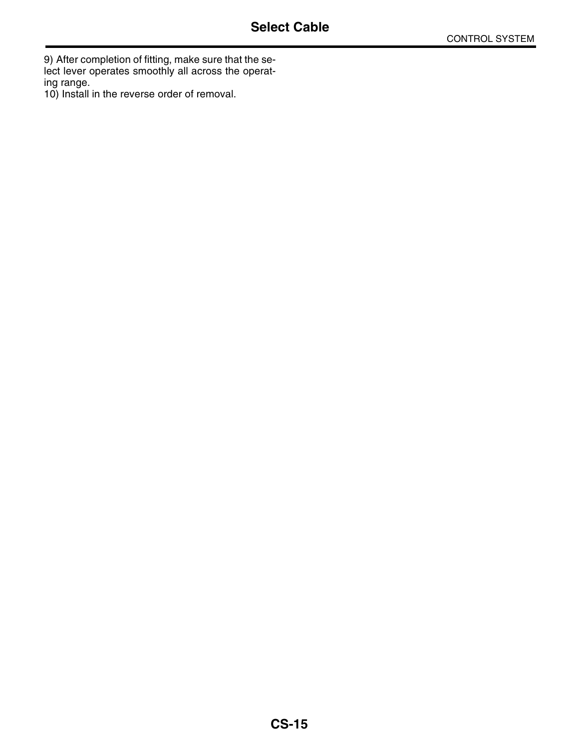9) After completion of fitting, make sure that the select lever operates smoothly all across the operating range.

10) Install in the reverse order of removal.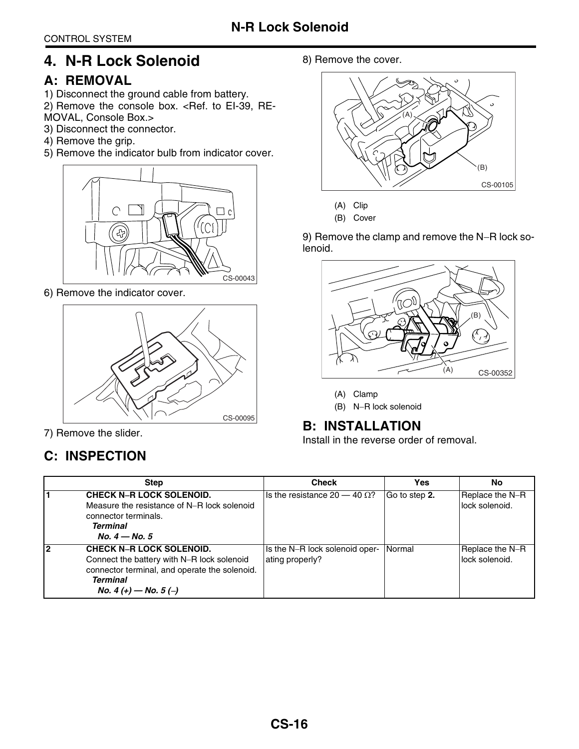### <span id="page-16-0"></span>**4. N-R Lock Solenoid**

### **A: REMOVAL**

- 1) Disconnect the ground cable from battery.
- 2) Remove the console box. <Ref. to EI-39, RE-MOVAL, Console Box.>
- 3) Disconnect the connector.
- 4) Remove the grip.
- 5) Remove the indicator bulb from indicator cover.



6) Remove the indicator cover.



7) Remove the slider.

### **C: INSPECTION**

### 8) Remove the cover.



(A) Clip

(B) Cover

9) Remove the clamp and remove the N-R lock solenoid.



(A) Clamp

(B) N−R lock solenoid

### **B: INSTALLATION**

Install in the reverse order of removal.

<span id="page-16-1"></span>

|    | <b>Step</b>                                                                    | <b>Check</b>                         | Yes           | No                                |
|----|--------------------------------------------------------------------------------|--------------------------------------|---------------|-----------------------------------|
|    | <b>CHECK N-R LOCK SOLENOID.</b><br>Measure the resistance of N-R lock solenoid | Is the resistance $20 - 40 \Omega$ ? | Go to step 2. | Replace the N-R<br>lock solenoid. |
|    | connector terminals.                                                           |                                      |               |                                   |
|    | <b>Terminal</b>                                                                |                                      |               |                                   |
|    | No. $4 -$ No. 5                                                                |                                      |               |                                   |
| l2 | <b>CHECK N-R LOCK SOLENOID.</b>                                                | Is the N-R lock solenoid oper-       | Normal        | Replace the N-R                   |
|    | Connect the battery with N-R lock solenoid                                     | ating properly?                      |               | lock solenoid.                    |
|    | connector terminal, and operate the solenoid.                                  |                                      |               |                                   |
|    | <b>Terminal</b>                                                                |                                      |               |                                   |
|    | No. 4 (+) – No. 5 (-)                                                          |                                      |               |                                   |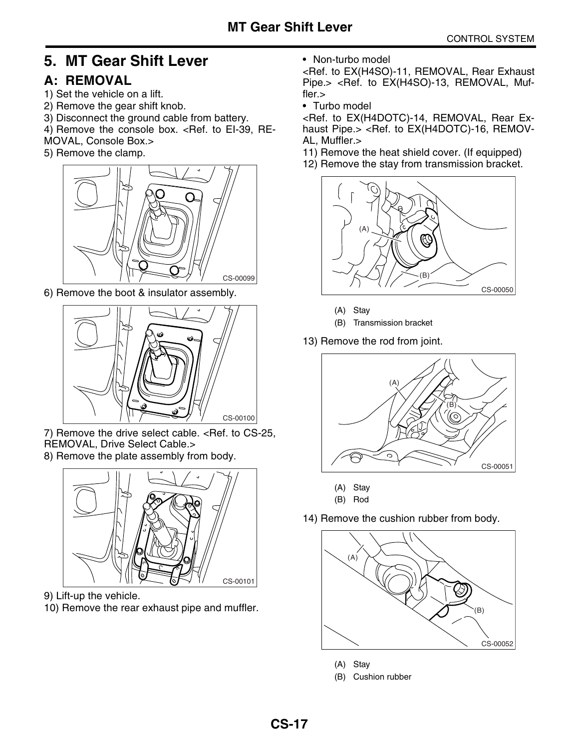### <span id="page-17-0"></span>**5. MT Gear Shift Lever**

### **A: REMOVAL**

- 1) Set the vehicle on a lift.
- 2) Remove the gear shift knob.
- 3) Disconnect the ground cable from battery.
- 4) Remove the console box. < Ref. to EI-39, RE-
- MOVAL, Console Box.>
- 5) Remove the clamp.



6) Remove the boot & insulator assembly.



7) Remove the drive select cable. [<Ref. to CS-25,](#page-25-1) [REMOVAL, Drive Select Cable.>](#page-25-1)

8) Remove the plate assembly from body.



9) Lift-up the vehicle.

10) Remove the rear exhaust pipe and muffler.

• Non-turbo model

<Ref. to EX(H4SO)-11, REMOVAL, Rear Exhaust Pipe.> <Ref. to EX(H4SO)-13, REMOVAL, Muffler.>

• Turbo model

<Ref. to EX(H4DOTC)-14, REMOVAL, Rear Exhaust Pipe.> <Ref. to EX(H4DOTC)-16, REMOV-AL, Muffler.>

- 11) Remove the heat shield cover. (If equipped)
- 12) Remove the stay from transmission bracket.



- (A) Stay
- (B) Transmission bracket
- 13) Remove the rod from joint.



- (A) Stay
- (B) Rod
- 14) Remove the cushion rubber from body.



- (A) Stay
- (B) Cushion rubber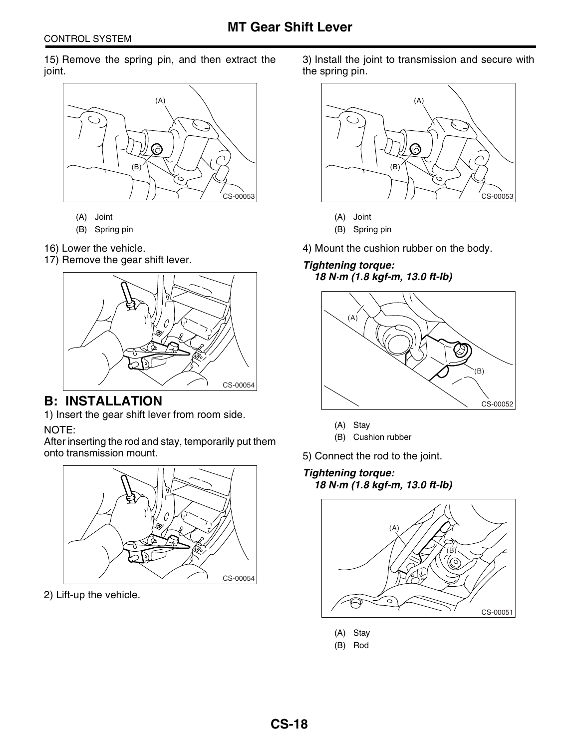15) Remove the spring pin, and then extract the joint.



- (A) Joint
- (B) Spring pin
- 16) Lower the vehicle.
- 17) Remove the gear shift lever.



### **B: INSTALLATION**

1) Insert the gear shift lever from room side.

NOTE:

After inserting the rod and stay, temporarily put them onto transmission mount.



2) Lift-up the vehicle.

3) Install the joint to transmission and secure with the spring pin.



(A) Joint

(B) Spring pin

4) Mount the cushion rubber on the body.

### *Tightening torque: 18 N·m (1.8 kgf-m, 13.0 ft-lb)*



(A) Stay

(B) Cushion rubber

5) Connect the rod to the joint.

### *Tightening torque: 18 N·m (1.8 kgf-m, 13.0 ft-lb)*



- (A) Stay
- (B) Rod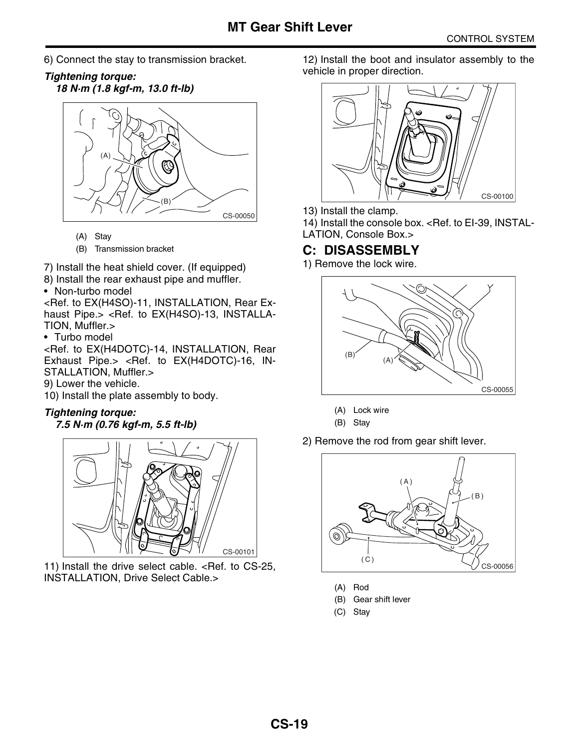- 6) Connect the stay to transmission bracket.
- *Tightening torque: 18 N·m (1.8 kgf-m, 13.0 ft-lb)*



(A) Stay

(B) Transmission bracket

7) Install the heat shield cover. (If equipped)

- 8) Install the rear exhaust pipe and muffler.
- Non-turbo model

<Ref. to EX(H4SO)-11, INSTALLATION, Rear Exhaust Pipe.> <Ref. to EX(H4SO)-13, INSTALLA-TION, Muffler.>

• Turbo model

<Ref. to EX(H4DOTC)-14, INSTALLATION, Rear Exhaust Pipe.> <Ref. to EX(H4DOTC)-16, IN-STALLATION, Muffler.>

- 9) Lower the vehicle.
- 10) Install the plate assembly to body.

### *Tightening torque:*

### *7.5 N·m (0.76 kgf-m, 5.5 ft-lb)*



11) Install the drive select cable. [<Ref. to CS-25,](#page-25-2) [INSTALLATION, Drive Select Cable.>](#page-25-2)

12) Install the boot and insulator assembly to the vehicle in proper direction.



13) Install the clamp.

14) Install the console box. <Ref. to EI-39, INSTAL-LATION, Console Box.>

### **C: DISASSEMBLY**

1) Remove the lock wire.



- (A) Lock wire
- (B) Stay
- 2) Remove the rod from gear shift lever.



- (A) Rod
- (B) Gear shift lever
- (C) Stay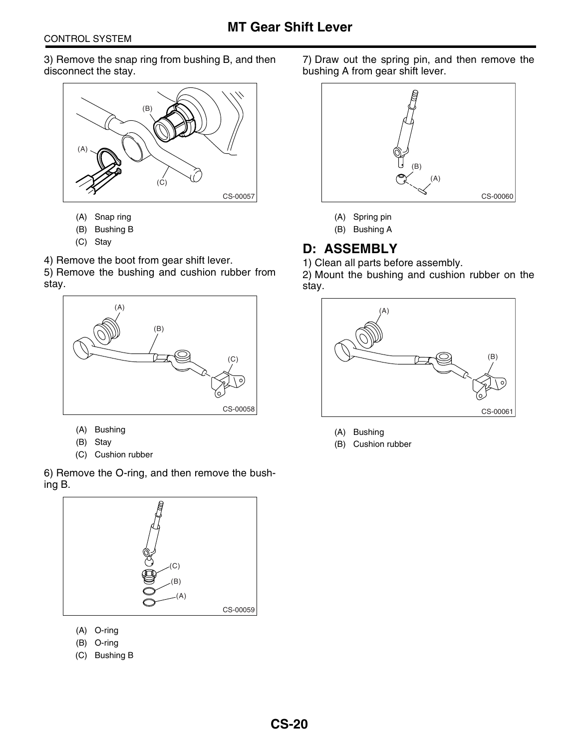3) Remove the snap ring from bushing B, and then disconnect the stay.



- (A) Snap ring
- (B) Bushing B
- (C) Stay

4) Remove the boot from gear shift lever.

5) Remove the bushing and cushion rubber from stay.



- (A) Bushing
- (B) Stay
- (C) Cushion rubber

6) Remove the O-ring, and then remove the bushing B.



- (A) O-ring
- (B) O-ring
- (C) Bushing B

7) Draw out the spring pin, and then remove the bushing A from gear shift lever.



- (A) Spring pin
- (B) Bushing A

### **D: ASSEMBLY**

1) Clean all parts before assembly. 2) Mount the bushing and cushion rubber on the stay.



- (A) Bushing
- (B) Cushion rubber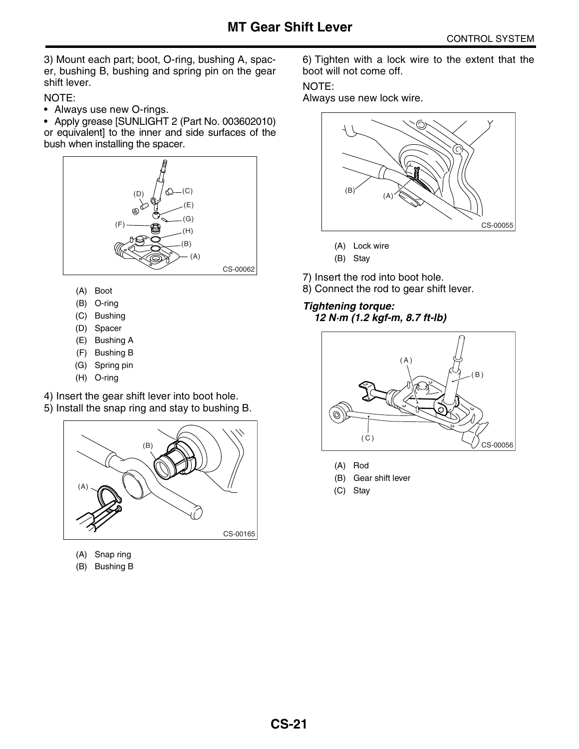3) Mount each part; boot, O-ring, bushing A, spacer, bushing B, bushing and spring pin on the gear shift lever.

NOTE:

• Always use new O-rings.

• Apply grease [SUNLIGHT 2 (Part No. 003602010) or equivalent] to the inner and side surfaces of the bush when installing the spacer.



- (A) Boot
- (B) O-ring
- (C) Bushing
- (D) Spacer
- (E) Bushing A
- (F) Bushing B
- (G) Spring pin
- (H) O-ring

4) Insert the gear shift lever into boot hole.

5) Install the snap ring and stay to bushing B.



- (A) Snap ring
- (B) Bushing B

6) Tighten with a lock wire to the extent that the boot will not come off.

#### NOTE:

Always use new lock wire.



- (A) Lock wire
- (B) Stay
- 7) Insert the rod into boot hole.
- 8) Connect the rod to gear shift lever.

### *Tightening torque:*

### *12 N·m (1.2 kgf-m, 8.7 ft-lb)*



- (A) Rod
- (B) Gear shift lever
- (C) Stay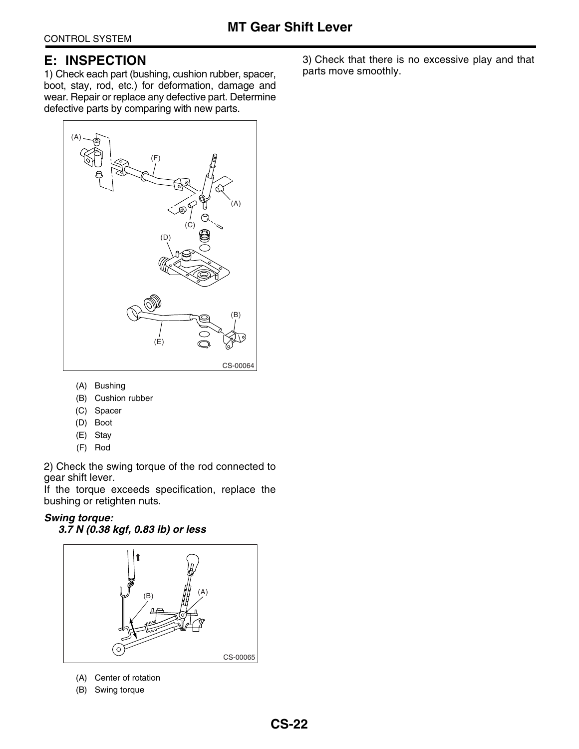### **E: INSPECTION**

1) Check each part (bushing, cushion rubber, spacer, boot, stay, rod, etc.) for deformation, damage and wear. Repair or replace any defective part. Determine defective parts by comparing with new parts.



- (A) Bushing
- (B) Cushion rubber
- (C) Spacer
- (D) Boot
- (E) Stay
- (F) Rod

2) Check the swing torque of the rod connected to gear shift lever.

If the torque exceeds specification, replace the bushing or retighten nuts.

#### *Swing torque: 3.7 N (0.38 kgf, 0.83 lb) or less*



- (A) Center of rotation
- (B) Swing torque

3) Check that there is no excessive play and that parts move smoothly.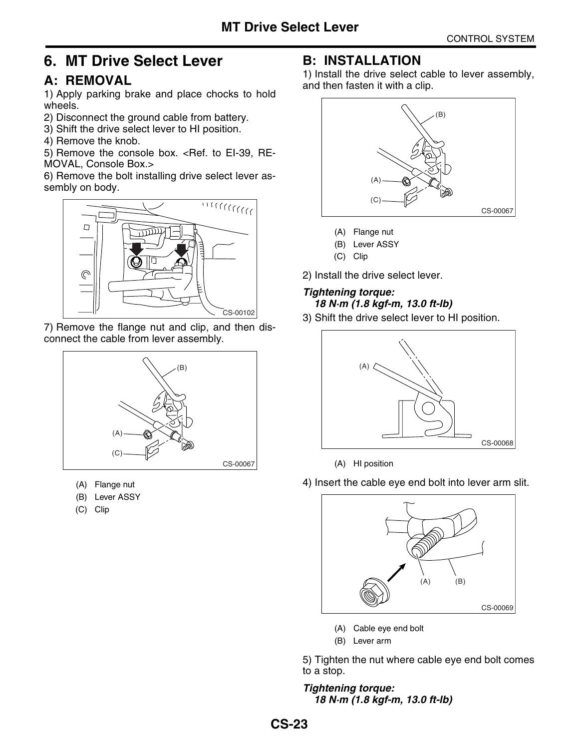### <span id="page-23-0"></span>**6. MT Drive Select Lever**

### <span id="page-23-1"></span>**A: REMOVAL**

1) Apply parking brake and place chocks to hold wheels.

- 2) Disconnect the ground cable from battery.
- 3) Shift the drive select lever to HI position.
- 4) Remove the knob.

5) Remove the console box. <Ref. to EI-39, RE-MOVAL, Console Box.>

6) Remove the bolt installing drive select lever assembly on body.



7) Remove the flange nut and clip, and then disconnect the cable from lever assembly.



- (A) Flange nut
- (B) Lever ASSY
- (C) Clip

### **B: INSTALLATION**

1) Install the drive select cable to lever assembly, and then fasten it with a clip.



- (A) Flange nut
- (B) Lever ASSY
- (C) Clip

2) Install the drive select lever.

### *Tightening torque: 18 N·m (1.8 kgf-m, 13.0 ft-lb)*

3) Shift the drive select lever to HI position.



(A) HI position

4) Insert the cable eye end bolt into lever arm slit.



(A) Cable eye end bolt

(B) Lever arm

5) Tighten the nut where cable eye end bolt comes to a stop.

*Tightening torque: 18 N·m (1.8 kgf-m, 13.0 ft-lb)*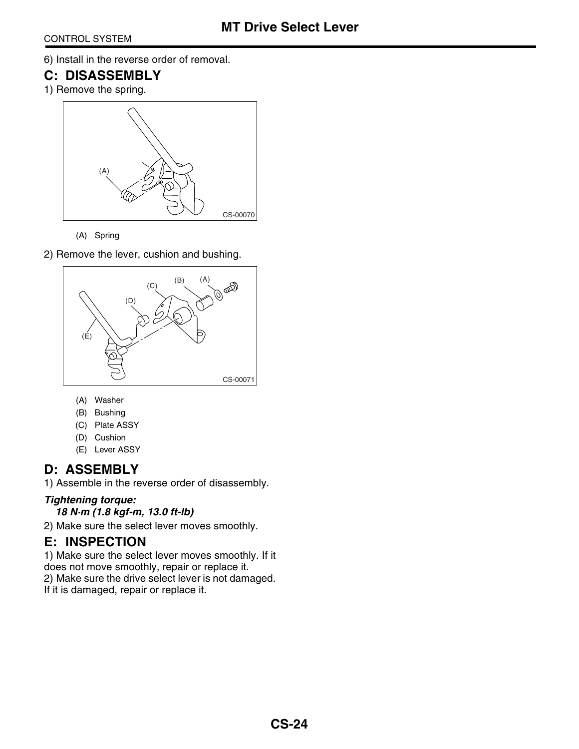6) Install in the reverse order of removal.

### **C: DISASSEMBLY**

1) Remove the spring.



(A) Spring

2) Remove the lever, cushion and bushing.



- (A) Washer
- (B) Bushing
- (C) Plate ASSY
- (D) Cushion
- (E) Lever ASSY

### **D: ASSEMBLY**

1) Assemble in the reverse order of disassembly.

### *Tightening torque:*

*18 N·m (1.8 kgf-m, 13.0 ft-lb)*

2) Make sure the select lever moves smoothly.

### **E: INSPECTION**

1) Make sure the select lever moves smoothly. If it does not move smoothly, repair or replace it. 2) Make sure the drive select lever is not damaged.

If it is damaged, repair or replace it.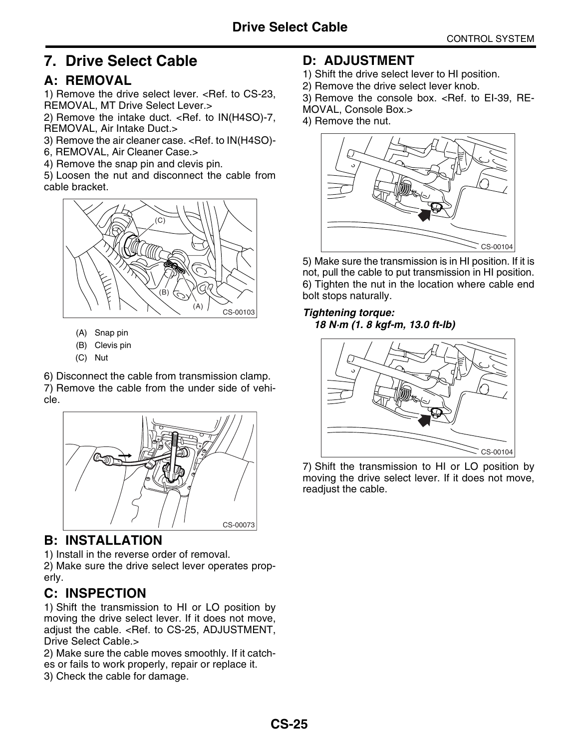### <span id="page-25-0"></span>**7. Drive Select Cable**

### <span id="page-25-1"></span>**A: REMOVAL**

1) Remove the drive select lever. [<Ref. to CS-23,](#page-23-1) [REMOVAL, MT Drive Select Lever.>](#page-23-1)

2) Remove the intake duct. <Ref. to IN(H4SO)-7, REMOVAL, Air Intake Duct.>

3) Remove the air cleaner case. <Ref. to IN(H4SO)-

6, REMOVAL, Air Cleaner Case.>

4) Remove the snap pin and clevis pin.

5) Loosen the nut and disconnect the cable from cable bracket.



- (A) Snap pin
- (B) Clevis pin
- (C) Nut

6) Disconnect the cable from transmission clamp. 7) Remove the cable from the under side of vehicle.



### <span id="page-25-2"></span>**B: INSTALLATION**

1) Install in the reverse order of removal. 2) Make sure the drive select lever operates properly.

### **C: INSPECTION**

1) Shift the transmission to HI or LO position by moving the drive select lever. If it does not move, adjust the cable. [<Ref. to CS-25, ADJUSTMENT,](#page-25-3) [Drive Select Cable.>](#page-25-3)

2) Make sure the cable moves smoothly. If it catches or fails to work properly, repair or replace it. 3) Check the cable for damage.

### <span id="page-25-3"></span>**D: ADJUSTMENT**

- 1) Shift the drive select lever to HI position.
- 2) Remove the drive select lever knob.
- 3) Remove the console box. <Ref. to EI-39, RE-
- MOVAL, Console Box.>
- 4) Remove the nut.



5) Make sure the transmission is in HI position. If it is not, pull the cable to put transmission in HI position. 6) Tighten the nut in the location where cable end bolt stops naturally.

### *Tightening torque: 18 N·m (1. 8 kgf-m, 13.0 ft-lb)*



7) Shift the transmission to HI or LO position by moving the drive select lever. If it does not move, readjust the cable.